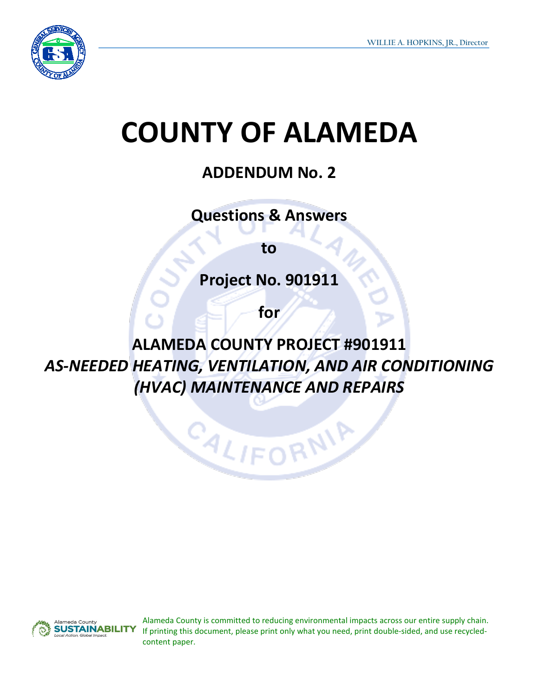

## **COUNTY OF ALAMEDA**

## **ADDENDUM No. 2**

**Questions & Answers** 

**to**

**Project No. 901911**

**for**

**ALAMEDA COUNTY PROJECT #901911** *AS-NEEDED HEATING, VENTILATION, AND AIR CONDITIONING (HVAC) MAINTENANCE AND REPAIRS*

CALIFORNIA



Alameda County is committed to reducing environmental impacts across our entire supply chain. If printing this document, please print only what you need, print double-sided, and use recycledcontent paper.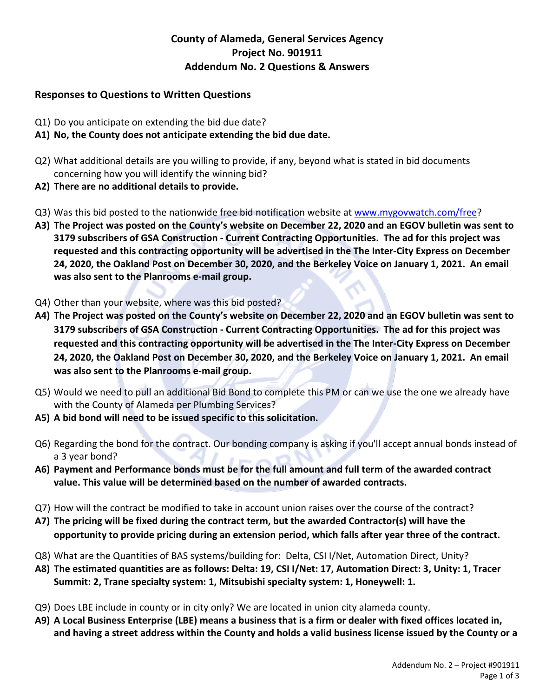## **County of Alameda, General Services Agency Project No. 901911 Addendum No. 2 Questions & Answers**

## **Responses to Questions to Written Questions**

- Q1) Do you anticipate on extending the bid due date?
- **A1) No, the County does not anticipate extending the bid due date.**
- Q2) What additional details are you willing to provide, if any, beyond what is stated in bid documents concerning how you will identify the winning bid?
- **A2) There are no additional details to provide.**
- Q3) Was this bid posted to the nationwide free bid notification website a[t www.mygovwatch.com/free?](http://www.mygovwatch.com/free)
- **A3) The Project was posted on the County's website on December 22, 2020 and an EGOV bulletin was sent to 3179 subscribers of GSA Construction - Current Contracting Opportunities. The ad for this project was requested and this contracting opportunity will be advertised in the The Inter-City Express on December 24, 2020, the Oakland Post on December 30, 2020, and the Berkeley Voice on January 1, 2021. An email was also sent to the Planrooms e-mail group.**
- Q4) Other than your website, where was this bid posted?
- **A4) The Project was posted on the County's website on December 22, 2020 and an EGOV bulletin was sent to 3179 subscribers of GSA Construction - Current Contracting Opportunities. The ad for this project was requested and this contracting opportunity will be advertised in the The Inter-City Express on December 24, 2020, the Oakland Post on December 30, 2020, and the Berkeley Voice on January 1, 2021. An email was also sent to the Planrooms e-mail group.**
- Q5) Would we need to pull an additional Bid Bond to complete this PM or can we use the one we already have with the County of Alameda per Plumbing Services?
- **A5) A bid bond will need to be issued specific to this solicitation.**
- Q6) Regarding the bond for the contract. Our bonding company is asking if you'll accept annual bonds instead of a 3 year bond?
- **A6) Payment and Performance bonds must be for the full amount and full term of the awarded contract value. This value will be determined based on the number of awarded contracts.**
- Q7) How will the contract be modified to take in account union raises over the course of the contract?
- **A7) The pricing will be fixed during the contract term, but the awarded Contractor(s) will have the opportunity to provide pricing during an extension period, which falls after year three of the contract.**
- Q8) What are the Quantities of BAS systems/building for: Delta, CSI I/Net, Automation Direct, Unity?
- **A8) The estimated quantities are as follows: Delta: 19, CSI I/Net: 17, Automation Direct: 3, Unity: 1, Tracer Summit: 2, Trane specialty system: 1, Mitsubishi specialty system: 1, Honeywell: 1.**
- Q9) Does LBE include in county or in city only? We are located in union city alameda county.
- **A9) A Local Business Enterprise (LBE) means a business that is a firm or dealer with fixed offices located in, and having a street address within the County and holds a valid business license issued by the County or a**